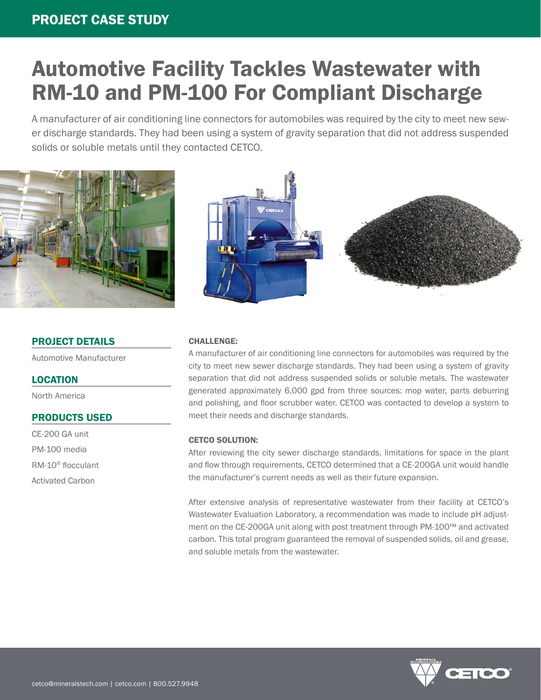### PROJECT CASE STUDY

# Automotive Facility Tackles Wastewater with RM-10 and PM-100 For Compliant Discharge

A manufacturer of air conditioning line connectors for automobiles was required by the city to meet new sewer discharge standards. They had been using a system of gravity separation that did not address suspended solids or soluble metals until they contacted CETCO.



#### PROJECT DETAILS

Automotive Manufacturer

#### **LOCATION**

North America

#### PRODUCTS USED

CE-200 GA unit PM-100 media RM-10® flocculant Activated Carbon



#### CHALLENGE:

A manufacturer of air conditioning line connectors for automobiles was required by the city to meet new sewer discharge standards. They had been using a system of gravity separation that did not address suspended solids or soluble metals. The wastewater generated approximately 6,000 gpd from three sources: mop water, parts deburring and polishing, and floor scrubber water. CETCO was contacted to develop a system to meet their needs and discharge standards.

#### CETCO SOLUTION:

After reviewing the city sewer discharge standards, limitations for space in the plant and flow through requirements, CETCO determined that a CE-200GA unit would handle the manufacturer's current needs as well as their future expansion.

After extensive analysis of representative wastewater from their facility at CETCO's Wastewater Evaluation Laboratory, a recommendation was made to include pH adjustment on the CE-200GA unit along with post treatment through PM-100™ and activated carbon. This total program guaranteed the removal of suspended solids, oil and grease, and soluble metals from the wastewater.